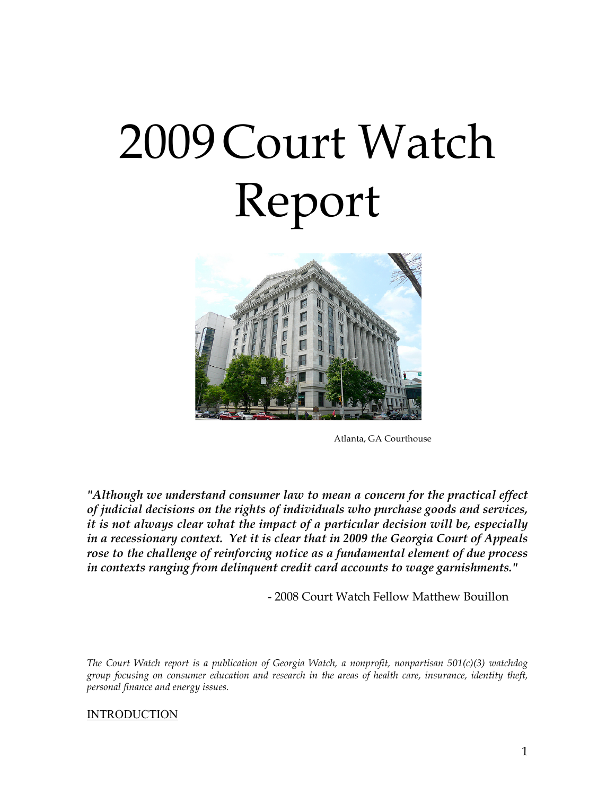# 2009Court Watch Report



Atlanta, GA Courthouse

*"Although we understand consumer law to mean a concern for the practical effect of judicial decisions on the rights of individuals who purchase goods and services, it is not always clear what the impact of a particular decision will be, especially in a recessionary context. Yet it is clear that in 2009 the Georgia Court of Appeals rose to the challenge of reinforcing notice as a fundamental element of due process in contexts ranging from delinquent credit card accounts to wage garnishments."* 

- 2008 Court Watch Fellow Matthew Bouillon

*The Court Watch report is a publication of Georgia Watch, a nonprofit, nonpartisan 501(c)(3) watchdog group focusing on consumer education and research in the areas of health care, insurance, identity theft, personal finance and energy issues.*

#### INTRODUCTION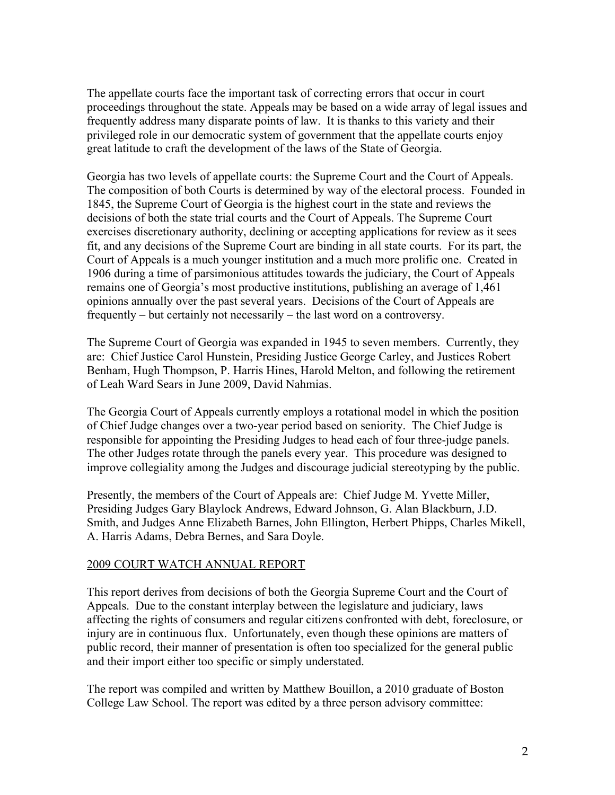The appellate courts face the important task of correcting errors that occur in court proceedings throughout the state. Appeals may be based on a wide array of legal issues and frequently address many disparate points of law. It is thanks to this variety and their privileged role in our democratic system of government that the appellate courts enjoy great latitude to craft the development of the laws of the State of Georgia.

Georgia has two levels of appellate courts: the Supreme Court and the Court of Appeals. The composition of both Courts is determined by way of the electoral process. Founded in 1845, the Supreme Court of Georgia is the highest court in the state and reviews the decisions of both the state trial courts and the Court of Appeals. The Supreme Court exercises discretionary authority, declining or accepting applications for review as it sees fit, and any decisions of the Supreme Court are binding in all state courts. For its part, the Court of Appeals is a much younger institution and a much more prolific one. Created in 1906 during a time of parsimonious attitudes towards the judiciary, the Court of Appeals remains one of Georgia's most productive institutions, publishing an average of 1,461 opinions annually over the past several years. Decisions of the Court of Appeals are frequently – but certainly not necessarily – the last word on a controversy.

The Supreme Court of Georgia was expanded in 1945 to seven members. Currently, they are: Chief Justice Carol Hunstein, Presiding Justice George Carley, and Justices Robert Benham, Hugh Thompson, P. Harris Hines, Harold Melton, and following the retirement of Leah Ward Sears in June 2009, David Nahmias.

The Georgia Court of Appeals currently employs a rotational model in which the position of Chief Judge changes over a two-year period based on seniority. The Chief Judge is responsible for appointing the Presiding Judges to head each of four three-judge panels. The other Judges rotate through the panels every year. This procedure was designed to improve collegiality among the Judges and discourage judicial stereotyping by the public.

Presently, the members of the Court of Appeals are: Chief Judge M. Yvette Miller, Presiding Judges Gary Blaylock Andrews, Edward Johnson, G. Alan Blackburn, J.D. Smith, and Judges Anne Elizabeth Barnes, John Ellington, Herbert Phipps, Charles Mikell, A. Harris Adams, Debra Bernes, and Sara Doyle.

#### 2009 COURT WATCH ANNUAL REPORT

This report derives from decisions of both the Georgia Supreme Court and the Court of Appeals. Due to the constant interplay between the legislature and judiciary, laws affecting the rights of consumers and regular citizens confronted with debt, foreclosure, or injury are in continuous flux. Unfortunately, even though these opinions are matters of public record, their manner of presentation is often too specialized for the general public and their import either too specific or simply understated.

The report was compiled and written by Matthew Bouillon, a 2010 graduate of Boston College Law School. The report was edited by a three person advisory committee: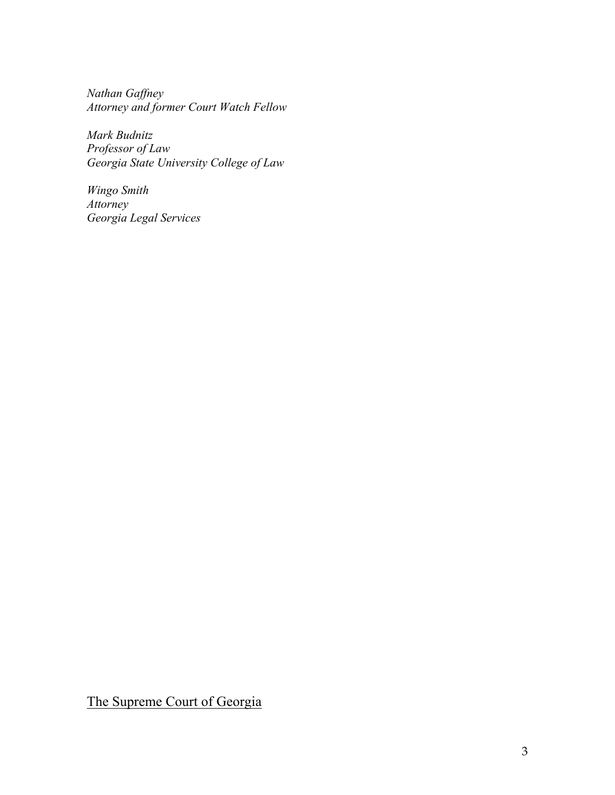*Nathan Gaffney Attorney and former Court Watch Fellow*

*Mark Budnitz Professor of Law Georgia State University College of Law*

*Wingo Smith Attorney Georgia Legal Services*

The Supreme Court of Georgia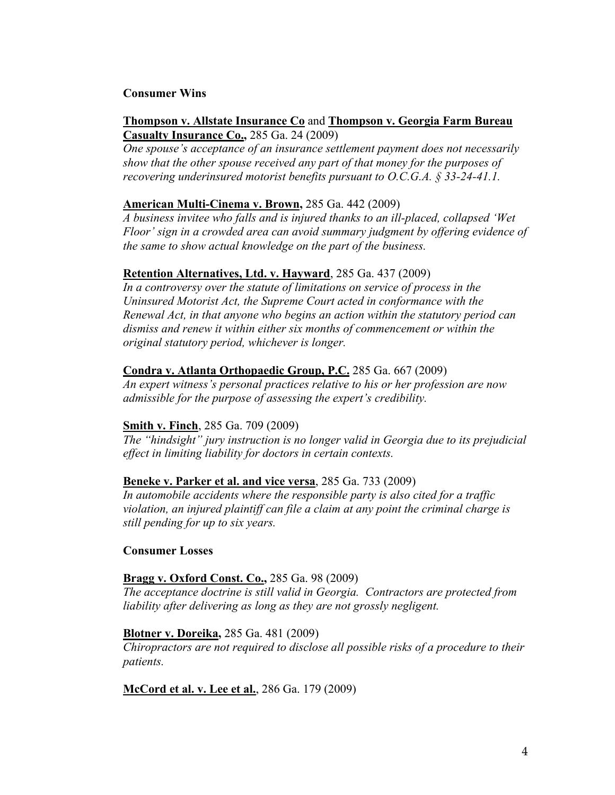#### **Consumer Wins**

#### **Thompson v. Allstate Insurance Co** and **Thompson v. Georgia Farm Bureau Casualty Insurance Co.,** 285 Ga. 24 (2009)

*One spouse's acceptance of an insurance settlement payment does not necessarily show that the other spouse received any part of that money for the purposes of recovering underinsured motorist benefits pursuant to O.C.G.A. § 33-24-41.1.*

#### **American Multi-Cinema v. Brown,** 285 Ga. 442 (2009)

*A business invitee who falls and is injured thanks to an ill-placed, collapsed 'Wet Floor' sign in a crowded area can avoid summary judgment by offering evidence of the same to show actual knowledge on the part of the business.*

#### **Retention Alternatives, Ltd. v. Hayward**, 285 Ga. 437 (2009)

*In a controversy over the statute of limitations on service of process in the Uninsured Motorist Act, the Supreme Court acted in conformance with the Renewal Act, in that anyone who begins an action within the statutory period can dismiss and renew it within either six months of commencement or within the original statutory period, whichever is longer.* 

#### **Condra v. Atlanta Orthopaedic Group, P.C.** 285 Ga. 667 (2009)

*An expert witness's personal practices relative to his or her profession are now admissible for the purpose of assessing the expert's credibility.*

#### **Smith v. Finch**, 285 Ga. 709 (2009)

*The "hindsight" jury instruction is no longer valid in Georgia due to its prejudicial effect in limiting liability for doctors in certain contexts.*

#### **Beneke v. Parker et al. and vice versa**, 285 Ga. 733 (2009)

*In automobile accidents where the responsible party is also cited for a traffic violation, an injured plaintiff can file a claim at any point the criminal charge is still pending for up to six years.*

#### **Consumer Losses**

#### **Bragg v. Oxford Const. Co.,** 285 Ga. 98 (2009)

*The acceptance doctrine is still valid in Georgia. Contractors are protected from liability after delivering as long as they are not grossly negligent.* 

#### **Blotner v. Doreika,** 285 Ga. 481 (2009)

*Chiropractors are not required to disclose all possible risks of a procedure to their patients.*

**McCord et al. v. Lee et al.**, 286 Ga. 179 (2009)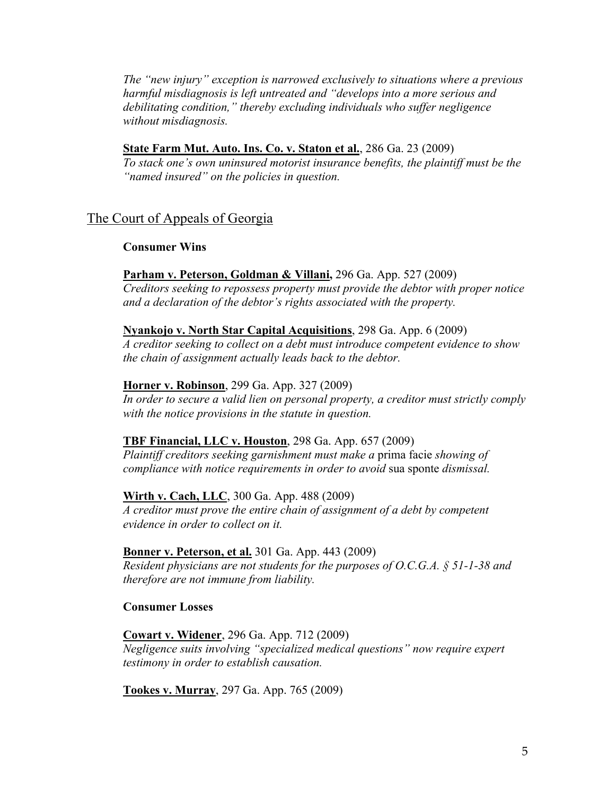*The "new injury" exception is narrowed exclusively to situations where a previous harmful misdiagnosis is left untreated and "develops into a more serious and debilitating condition," thereby excluding individuals who suffer negligence without misdiagnosis.* 

### **State Farm Mut. Auto. Ins. Co. v. Staton et al.**, 286 Ga. 23 (2009)

*To stack one's own uninsured motorist insurance benefits, the plaintiff must be the "named insured" on the policies in question.* 

# The Court of Appeals of Georgia

#### **Consumer Wins**

#### **Parham v. Peterson, Goldman & Villani,** 296 Ga. App. 527 (2009)

*Creditors seeking to repossess property must provide the debtor with proper notice and a declaration of the debtor's rights associated with the property.*

#### **Nyankojo v. North Star Capital Acquisitions**, 298 Ga. App. 6 (2009)

*A creditor seeking to collect on a debt must introduce competent evidence to show the chain of assignment actually leads back to the debtor.*

#### **Horner v. Robinson**, 299 Ga. App. 327 (2009)

*In order to secure a valid lien on personal property, a creditor must strictly comply with the notice provisions in the statute in question.*

#### **TBF Financial, LLC v. Houston**, 298 Ga. App. 657 (2009)

*Plaintiff creditors seeking garnishment must make a* prima facie *showing of compliance with notice requirements in order to avoid* sua sponte *dismissal.*

#### **Wirth v. Cach, LLC**, 300 Ga. App. 488 (2009)

*A creditor must prove the entire chain of assignment of a debt by competent evidence in order to collect on it.*

#### **Bonner v. Peterson, et al.** 301 Ga. App. 443 (2009)

*Resident physicians are not students for the purposes of O.C.G.A. § 51-1-38 and therefore are not immune from liability.* 

#### **Consumer Losses**

**Cowart v. Widener**, 296 Ga. App. 712 (2009) *Negligence suits involving "specialized medical questions" now require expert testimony in order to establish causation.* 

**Tookes v. Murray**, 297 Ga. App. 765 (2009)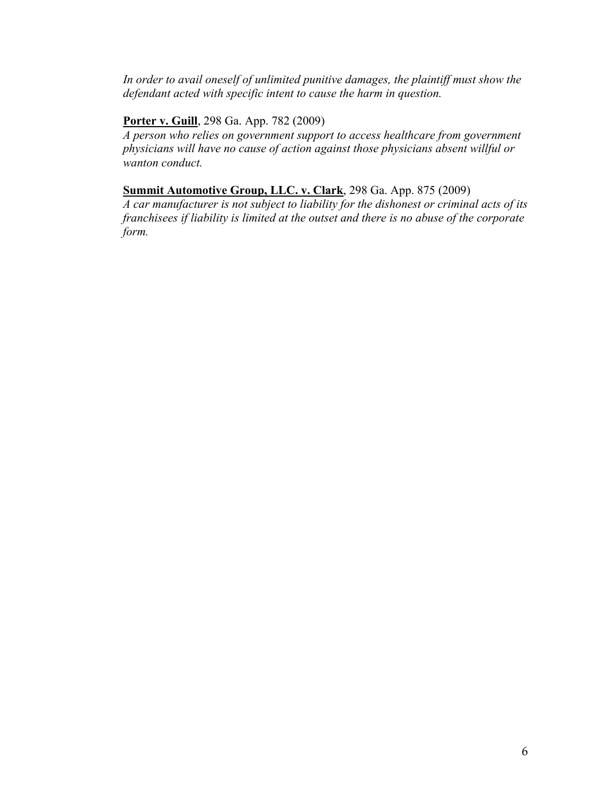*In order to avail oneself of unlimited punitive damages, the plaintiff must show the defendant acted with specific intent to cause the harm in question.*

# **Porter v. Guill**, 298 Ga. App. 782 (2009)

*A person who relies on government support to access healthcare from government physicians will have no cause of action against those physicians absent willful or wanton conduct.*

# **Summit Automotive Group, LLC. v. Clark**, 298 Ga. App. 875 (2009)

*A car manufacturer is not subject to liability for the dishonest or criminal acts of its franchisees if liability is limited at the outset and there is no abuse of the corporate form.*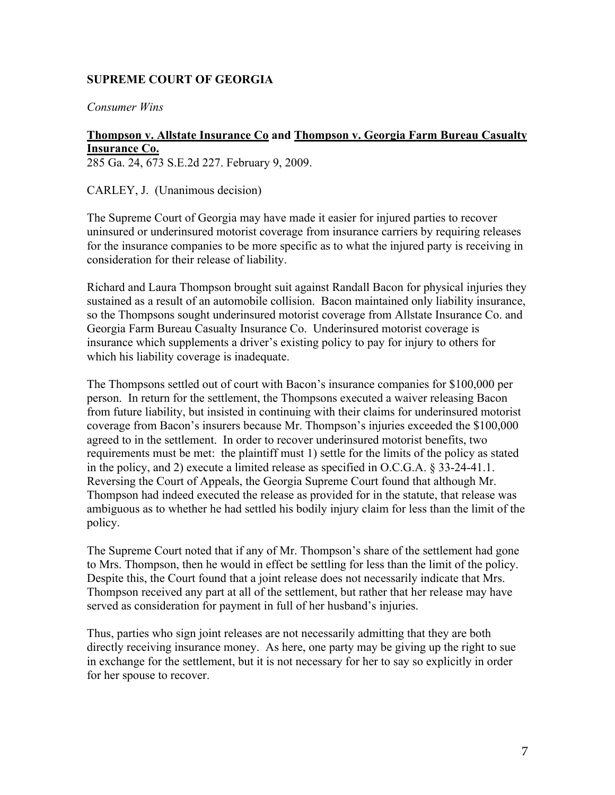# **SUPREME COURT OF GEORGIA**

*Consumer Wins*

# **Thompson v. Allstate Insurance Co and Thompson v. Georgia Farm Bureau Casualty Insurance Co.**

285 Ga. 24, 673 S.E.2d 227. February 9, 2009.

CARLEY, J. (Unanimous decision)

The Supreme Court of Georgia may have made it easier for injured parties to recover uninsured or underinsured motorist coverage from insurance carriers by requiring releases for the insurance companies to be more specific as to what the injured party is receiving in consideration for their release of liability.

Richard and Laura Thompson brought suit against Randall Bacon for physical injuries they sustained as a result of an automobile collision. Bacon maintained only liability insurance, so the Thompsons sought underinsured motorist coverage from Allstate Insurance Co. and Georgia Farm Bureau Casualty Insurance Co. Underinsured motorist coverage is insurance which supplements a driver's existing policy to pay for injury to others for which his liability coverage is inadequate.

The Thompsons settled out of court with Bacon's insurance companies for \$100,000 per person. In return for the settlement, the Thompsons executed a waiver releasing Bacon from future liability, but insisted in continuing with their claims for underinsured motorist coverage from Bacon's insurers because Mr. Thompson's injuries exceeded the \$100,000 agreed to in the settlement. In order to recover underinsured motorist benefits, two requirements must be met: the plaintiff must 1) settle for the limits of the policy as stated in the policy, and 2) execute a limited release as specified in O.C.G.A. § 33-24-41.1. Reversing the Court of Appeals, the Georgia Supreme Court found that although Mr. Thompson had indeed executed the release as provided for in the statute, that release was ambiguous as to whether he had settled his bodily injury claim for less than the limit of the policy.

The Supreme Court noted that if any of Mr. Thompson's share of the settlement had gone to Mrs. Thompson, then he would in effect be settling for less than the limit of the policy. Despite this, the Court found that a joint release does not necessarily indicate that Mrs. Thompson received any part at all of the settlement, but rather that her release may have served as consideration for payment in full of her husband's injuries.

Thus, parties who sign joint releases are not necessarily admitting that they are both directly receiving insurance money. As here, one party may be giving up the right to sue in exchange for the settlement, but it is not necessary for her to say so explicitly in order for her spouse to recover.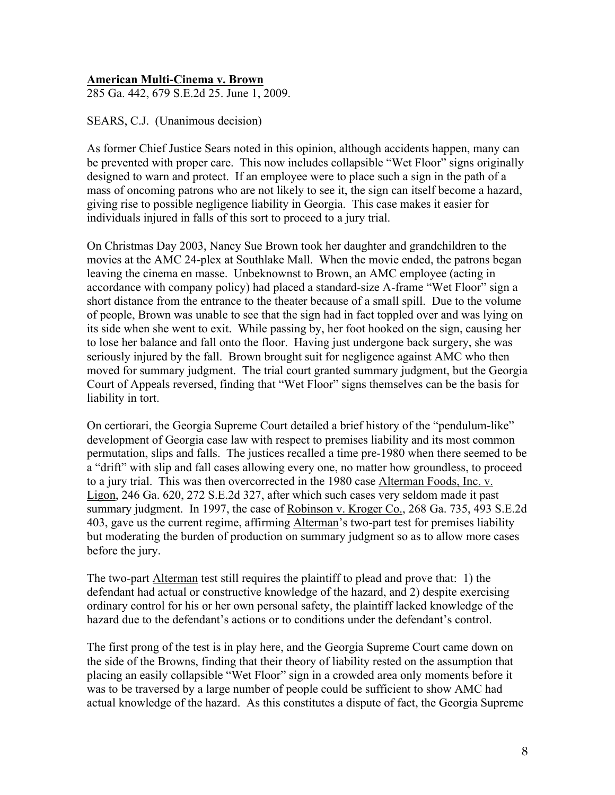#### **American Multi-Cinema v. Brown**

285 Ga. 442, 679 S.E.2d 25. June 1, 2009.

SEARS, C.J. (Unanimous decision)

As former Chief Justice Sears noted in this opinion, although accidents happen, many can be prevented with proper care. This now includes collapsible "Wet Floor" signs originally designed to warn and protect. If an employee were to place such a sign in the path of a mass of oncoming patrons who are not likely to see it, the sign can itself become a hazard, giving rise to possible negligence liability in Georgia. This case makes it easier for individuals injured in falls of this sort to proceed to a jury trial.

On Christmas Day 2003, Nancy Sue Brown took her daughter and grandchildren to the movies at the AMC 24-plex at Southlake Mall. When the movie ended, the patrons began leaving the cinema en masse. Unbeknownst to Brown, an AMC employee (acting in accordance with company policy) had placed a standard-size A-frame "Wet Floor" sign a short distance from the entrance to the theater because of a small spill. Due to the volume of people, Brown was unable to see that the sign had in fact toppled over and was lying on its side when she went to exit. While passing by, her foot hooked on the sign, causing her to lose her balance and fall onto the floor. Having just undergone back surgery, she was seriously injured by the fall. Brown brought suit for negligence against AMC who then moved for summary judgment. The trial court granted summary judgment, but the Georgia Court of Appeals reversed, finding that "Wet Floor" signs themselves can be the basis for liability in tort.

On certiorari, the Georgia Supreme Court detailed a brief history of the "pendulum-like" development of Georgia case law with respect to premises liability and its most common permutation, slips and falls. The justices recalled a time pre-1980 when there seemed to be a "drift" with slip and fall cases allowing every one, no matter how groundless, to proceed to a jury trial. This was then overcorrected in the 1980 case Alterman Foods, Inc. v. Ligon, 246 Ga. 620, 272 S.E.2d 327, after which such cases very seldom made it past summary judgment. In 1997, the case of Robinson v. Kroger Co., 268 Ga. 735, 493 S.E.2d 403, gave us the current regime, affirming Alterman's two-part test for premises liability but moderating the burden of production on summary judgment so as to allow more cases before the jury.

The two-part Alterman test still requires the plaintiff to plead and prove that: 1) the defendant had actual or constructive knowledge of the hazard, and 2) despite exercising ordinary control for his or her own personal safety, the plaintiff lacked knowledge of the hazard due to the defendant's actions or to conditions under the defendant's control.

The first prong of the test is in play here, and the Georgia Supreme Court came down on the side of the Browns, finding that their theory of liability rested on the assumption that placing an easily collapsible "Wet Floor" sign in a crowded area only moments before it was to be traversed by a large number of people could be sufficient to show AMC had actual knowledge of the hazard. As this constitutes a dispute of fact, the Georgia Supreme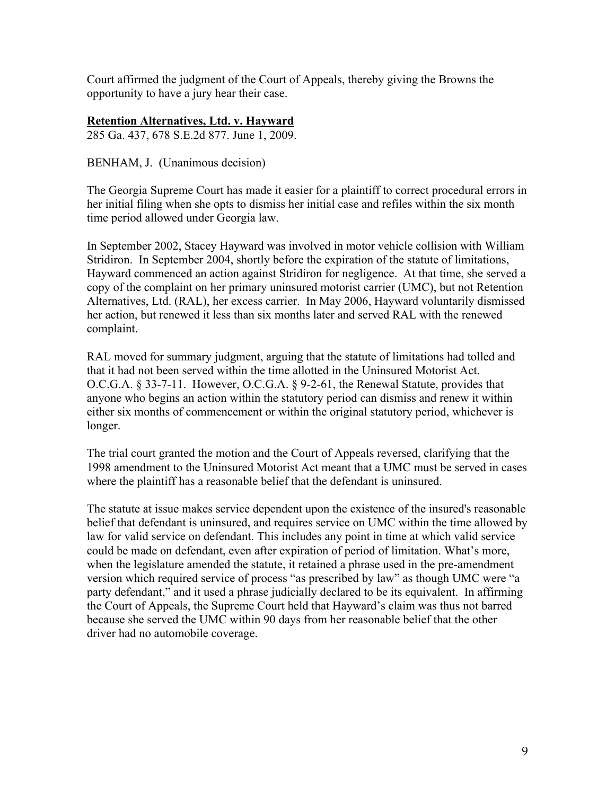Court affirmed the judgment of the Court of Appeals, thereby giving the Browns the opportunity to have a jury hear their case.

# **Retention Alternatives, Ltd. v. Hayward**

285 Ga. 437, 678 S.E.2d 877. June 1, 2009.

BENHAM, J. (Unanimous decision)

The Georgia Supreme Court has made it easier for a plaintiff to correct procedural errors in her initial filing when she opts to dismiss her initial case and refiles within the six month time period allowed under Georgia law.

In September 2002, Stacey Hayward was involved in motor vehicle collision with William Stridiron. In September 2004, shortly before the expiration of the statute of limitations, Hayward commenced an action against Stridiron for negligence. At that time, she served a copy of the complaint on her primary uninsured motorist carrier (UMC), but not Retention Alternatives, Ltd. (RAL), her excess carrier. In May 2006, Hayward voluntarily dismissed her action, but renewed it less than six months later and served RAL with the renewed complaint.

RAL moved for summary judgment, arguing that the statute of limitations had tolled and that it had not been served within the time allotted in the Uninsured Motorist Act. O.C.G.A. § 33-7-11. However, O.C.G.A. § 9-2-61, the Renewal Statute, provides that anyone who begins an action within the statutory period can dismiss and renew it within either six months of commencement or within the original statutory period, whichever is longer.

The trial court granted the motion and the Court of Appeals reversed, clarifying that the 1998 amendment to the Uninsured Motorist Act meant that a UMC must be served in cases where the plaintiff has a reasonable belief that the defendant is uninsured.

The statute at issue makes service dependent upon the existence of the insured's reasonable belief that defendant is uninsured, and requires service on UMC within the time allowed by law for valid service on defendant. This includes any point in time at which valid service could be made on defendant, even after expiration of period of limitation. What's more, when the legislature amended the statute, it retained a phrase used in the pre-amendment version which required service of process "as prescribed by law" as though UMC were "a party defendant," and it used a phrase judicially declared to be its equivalent. In affirming the Court of Appeals, the Supreme Court held that Hayward's claim was thus not barred because she served the UMC within 90 days from her reasonable belief that the other driver had no automobile coverage.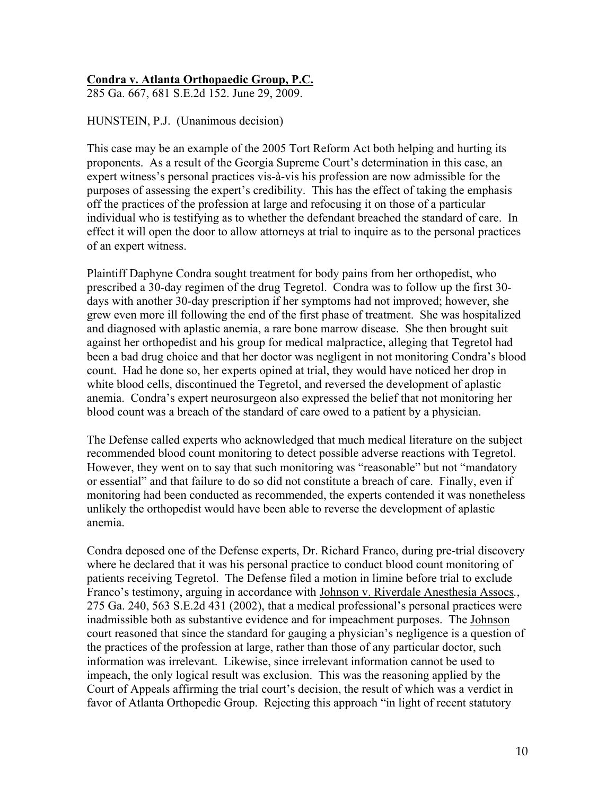# **Condra v. Atlanta Orthopaedic Group, P.C.**

285 Ga. 667, 681 S.E.2d 152. June 29, 2009.

HUNSTEIN, P.J. (Unanimous decision)

This case may be an example of the 2005 Tort Reform Act both helping and hurting its proponents. As a result of the Georgia Supreme Court's determination in this case, an expert witness's personal practices vis-à-vis his profession are now admissible for the purposes of assessing the expert's credibility. This has the effect of taking the emphasis off the practices of the profession at large and refocusing it on those of a particular individual who is testifying as to whether the defendant breached the standard of care. In effect it will open the door to allow attorneys at trial to inquire as to the personal practices of an expert witness.

Plaintiff Daphyne Condra sought treatment for body pains from her orthopedist, who prescribed a 30-day regimen of the drug Tegretol. Condra was to follow up the first 30 days with another 30-day prescription if her symptoms had not improved; however, she grew even more ill following the end of the first phase of treatment. She was hospitalized and diagnosed with aplastic anemia, a rare bone marrow disease. She then brought suit against her orthopedist and his group for medical malpractice, alleging that Tegretol had been a bad drug choice and that her doctor was negligent in not monitoring Condra's blood count. Had he done so, her experts opined at trial, they would have noticed her drop in white blood cells, discontinued the Tegretol, and reversed the development of aplastic anemia. Condra's expert neurosurgeon also expressed the belief that not monitoring her blood count was a breach of the standard of care owed to a patient by a physician.

The Defense called experts who acknowledged that much medical literature on the subject recommended blood count monitoring to detect possible adverse reactions with Tegretol. However, they went on to say that such monitoring was "reasonable" but not "mandatory or essential" and that failure to do so did not constitute a breach of care. Finally, even if monitoring had been conducted as recommended, the experts contended it was nonetheless unlikely the orthopedist would have been able to reverse the development of aplastic anemia.

Condra deposed one of the Defense experts, Dr. Richard Franco, during pre-trial discovery where he declared that it was his personal practice to conduct blood count monitoring of patients receiving Tegretol. The Defense filed a motion in limine before trial to exclude Franco's testimony, arguing in accordance with Johnson v. Riverdale Anesthesia Assocs*.*, 275 Ga. 240, 563 S.E.2d 431 (2002), that a medical professional's personal practices were inadmissible both as substantive evidence and for impeachment purposes. The Johnson court reasoned that since the standard for gauging a physician's negligence is a question of the practices of the profession at large, rather than those of any particular doctor, such information was irrelevant. Likewise, since irrelevant information cannot be used to impeach, the only logical result was exclusion. This was the reasoning applied by the Court of Appeals affirming the trial court's decision, the result of which was a verdict in favor of Atlanta Orthopedic Group. Rejecting this approach "in light of recent statutory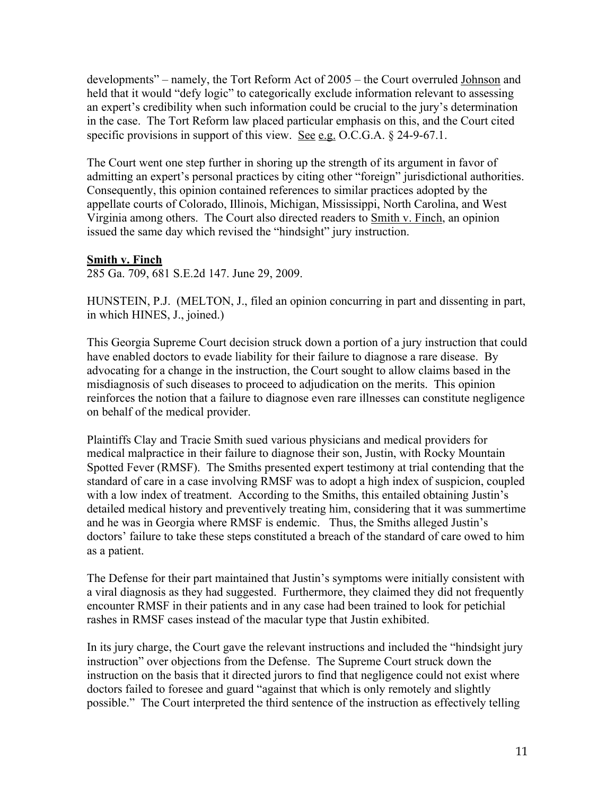developments" – namely, the Tort Reform Act of 2005 – the Court overruled Johnson and held that it would "defy logic" to categorically exclude information relevant to assessing an expert's credibility when such information could be crucial to the jury's determination in the case. The Tort Reform law placed particular emphasis on this, and the Court cited specific provisions in support of this view. See e.g. O.C.G.A. § 24-9-67.1.

The Court went one step further in shoring up the strength of its argument in favor of admitting an expert's personal practices by citing other "foreign" jurisdictional authorities. Consequently, this opinion contained references to similar practices adopted by the appellate courts of Colorado, Illinois, Michigan, Mississippi, North Carolina, and West Virginia among others. The Court also directed readers to Smith v. Finch, an opinion issued the same day which revised the "hindsight" jury instruction.

## **Smith v. Finch**

285 Ga. 709, 681 S.E.2d 147. June 29, 2009.

HUNSTEIN, P.J. (MELTON, J., filed an opinion concurring in part and dissenting in part, in which HINES, J., joined.)

This Georgia Supreme Court decision struck down a portion of a jury instruction that could have enabled doctors to evade liability for their failure to diagnose a rare disease. By advocating for a change in the instruction, the Court sought to allow claims based in the misdiagnosis of such diseases to proceed to adjudication on the merits. This opinion reinforces the notion that a failure to diagnose even rare illnesses can constitute negligence on behalf of the medical provider.

Plaintiffs Clay and Tracie Smith sued various physicians and medical providers for medical malpractice in their failure to diagnose their son, Justin, with Rocky Mountain Spotted Fever (RMSF). The Smiths presented expert testimony at trial contending that the standard of care in a case involving RMSF was to adopt a high index of suspicion, coupled with a low index of treatment. According to the Smiths, this entailed obtaining Justin's detailed medical history and preventively treating him, considering that it was summertime and he was in Georgia where RMSF is endemic. Thus, the Smiths alleged Justin's doctors' failure to take these steps constituted a breach of the standard of care owed to him as a patient.

The Defense for their part maintained that Justin's symptoms were initially consistent with a viral diagnosis as they had suggested. Furthermore, they claimed they did not frequently encounter RMSF in their patients and in any case had been trained to look for petichial rashes in RMSF cases instead of the macular type that Justin exhibited.

In its jury charge, the Court gave the relevant instructions and included the "hindsight jury instruction" over objections from the Defense. The Supreme Court struck down the instruction on the basis that it directed jurors to find that negligence could not exist where doctors failed to foresee and guard "against that which is only remotely and slightly possible." The Court interpreted the third sentence of the instruction as effectively telling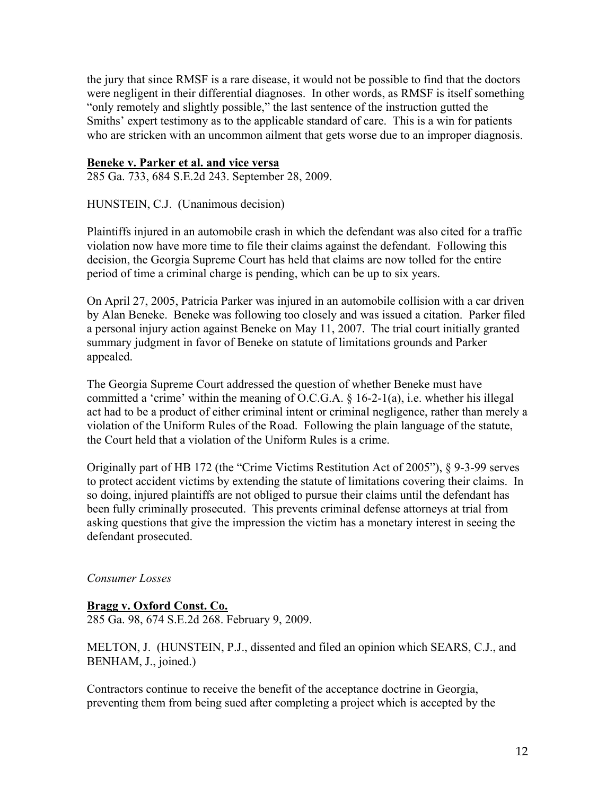the jury that since RMSF is a rare disease, it would not be possible to find that the doctors were negligent in their differential diagnoses. In other words, as RMSF is itself something "only remotely and slightly possible," the last sentence of the instruction gutted the Smiths' expert testimony as to the applicable standard of care. This is a win for patients who are stricken with an uncommon ailment that gets worse due to an improper diagnosis.

#### **Beneke v. Parker et al. and vice versa**

285 Ga. 733, 684 S.E.2d 243. September 28, 2009.

HUNSTEIN, C.J. (Unanimous decision)

Plaintiffs injured in an automobile crash in which the defendant was also cited for a traffic violation now have more time to file their claims against the defendant. Following this decision, the Georgia Supreme Court has held that claims are now tolled for the entire period of time a criminal charge is pending, which can be up to six years.

On April 27, 2005, Patricia Parker was injured in an automobile collision with a car driven by Alan Beneke. Beneke was following too closely and was issued a citation. Parker filed a personal injury action against Beneke on May 11, 2007. The trial court initially granted summary judgment in favor of Beneke on statute of limitations grounds and Parker appealed.

The Georgia Supreme Court addressed the question of whether Beneke must have committed a 'crime' within the meaning of O.C.G.A. § 16-2-1(a), i.e. whether his illegal act had to be a product of either criminal intent or criminal negligence, rather than merely a violation of the Uniform Rules of the Road. Following the plain language of the statute, the Court held that a violation of the Uniform Rules is a crime.

Originally part of HB 172 (the "Crime Victims Restitution Act of 2005"), § 9-3-99 serves to protect accident victims by extending the statute of limitations covering their claims. In so doing, injured plaintiffs are not obliged to pursue their claims until the defendant has been fully criminally prosecuted. This prevents criminal defense attorneys at trial from asking questions that give the impression the victim has a monetary interest in seeing the defendant prosecuted.

#### *Consumer Losses*

**Bragg v. Oxford Const. Co.** 285 Ga. 98, 674 S.E.2d 268. February 9, 2009.

MELTON, J. (HUNSTEIN, P.J., dissented and filed an opinion which SEARS, C.J., and BENHAM, J., joined.)

Contractors continue to receive the benefit of the acceptance doctrine in Georgia, preventing them from being sued after completing a project which is accepted by the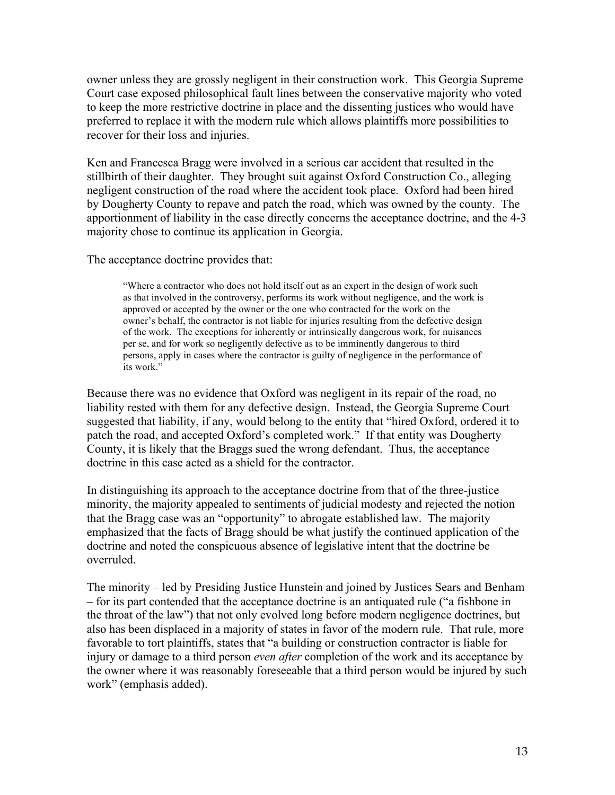owner unless they are grossly negligent in their construction work. This Georgia Supreme Court case exposed philosophical fault lines between the conservative majority who voted to keep the more restrictive doctrine in place and the dissenting justices who would have preferred to replace it with the modern rule which allows plaintiffs more possibilities to recover for their loss and injuries.

Ken and Francesca Bragg were involved in a serious car accident that resulted in the stillbirth of their daughter. They brought suit against Oxford Construction Co., alleging negligent construction of the road where the accident took place. Oxford had been hired by Dougherty County to repave and patch the road, which was owned by the county. The apportionment of liability in the case directly concerns the acceptance doctrine, and the 4-3 majority chose to continue its application in Georgia.

The acceptance doctrine provides that:

"Where a contractor who does not hold itself out as an expert in the design of work such as that involved in the controversy, performs its work without negligence, and the work is approved or accepted by the owner or the one who contracted for the work on the owner's behalf, the contractor is not liable for injuries resulting from the defective design of the work. The exceptions for inherently or intrinsically dangerous work, for nuisances per se, and for work so negligently defective as to be imminently dangerous to third persons, apply in cases where the contractor is guilty of negligence in the performance of its work."

Because there was no evidence that Oxford was negligent in its repair of the road, no liability rested with them for any defective design. Instead, the Georgia Supreme Court suggested that liability, if any, would belong to the entity that "hired Oxford, ordered it to patch the road, and accepted Oxford's completed work." If that entity was Dougherty County, it is likely that the Braggs sued the wrong defendant. Thus, the acceptance doctrine in this case acted as a shield for the contractor.

In distinguishing its approach to the acceptance doctrine from that of the three-justice minority, the majority appealed to sentiments of judicial modesty and rejected the notion that the Bragg case was an "opportunity" to abrogate established law. The majority emphasized that the facts of Bragg should be what justify the continued application of the doctrine and noted the conspicuous absence of legislative intent that the doctrine be overruled.

The minority – led by Presiding Justice Hunstein and joined by Justices Sears and Benham – for its part contended that the acceptance doctrine is an antiquated rule ("a fishbone in the throat of the law") that not only evolved long before modern negligence doctrines, but also has been displaced in a majority of states in favor of the modern rule. That rule, more favorable to tort plaintiffs, states that "a building or construction contractor is liable for injury or damage to a third person *even after* completion of the work and its acceptance by the owner where it was reasonably foreseeable that a third person would be injured by such work" (emphasis added).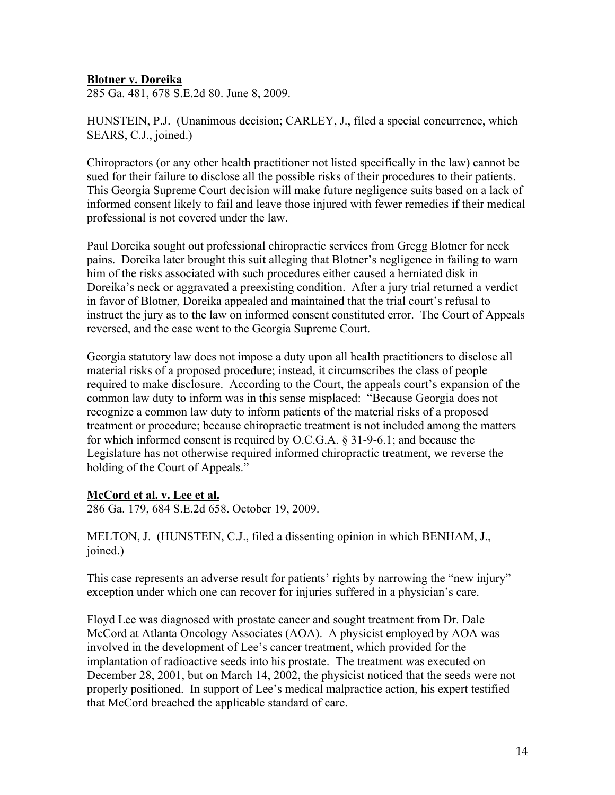#### **Blotner v. Doreika**

285 Ga. 481, 678 S.E.2d 80. June 8, 2009.

HUNSTEIN, P.J. (Unanimous decision; CARLEY, J., filed a special concurrence, which SEARS, C.J., joined.)

Chiropractors (or any other health practitioner not listed specifically in the law) cannot be sued for their failure to disclose all the possible risks of their procedures to their patients. This Georgia Supreme Court decision will make future negligence suits based on a lack of informed consent likely to fail and leave those injured with fewer remedies if their medical professional is not covered under the law.

Paul Doreika sought out professional chiropractic services from Gregg Blotner for neck pains. Doreika later brought this suit alleging that Blotner's negligence in failing to warn him of the risks associated with such procedures either caused a herniated disk in Doreika's neck or aggravated a preexisting condition. After a jury trial returned a verdict in favor of Blotner, Doreika appealed and maintained that the trial court's refusal to instruct the jury as to the law on informed consent constituted error. The Court of Appeals reversed, and the case went to the Georgia Supreme Court.

Georgia statutory law does not impose a duty upon all health practitioners to disclose all material risks of a proposed procedure; instead, it circumscribes the class of people required to make disclosure. According to the Court, the appeals court's expansion of the common law duty to inform was in this sense misplaced: "Because Georgia does not recognize a common law duty to inform patients of the material risks of a proposed treatment or procedure; because chiropractic treatment is not included among the matters for which informed consent is required by O.C.G.A. § 31-9-6.1; and because the Legislature has not otherwise required informed chiropractic treatment, we reverse the holding of the Court of Appeals."

#### **McCord et al. v. Lee et al.**

286 Ga. 179, 684 S.E.2d 658. October 19, 2009.

MELTON, J. (HUNSTEIN, C.J., filed a dissenting opinion in which BENHAM, J., joined.)

This case represents an adverse result for patients' rights by narrowing the "new injury" exception under which one can recover for injuries suffered in a physician's care.

Floyd Lee was diagnosed with prostate cancer and sought treatment from Dr. Dale McCord at Atlanta Oncology Associates (AOA). A physicist employed by AOA was involved in the development of Lee's cancer treatment, which provided for the implantation of radioactive seeds into his prostate. The treatment was executed on December 28, 2001, but on March 14, 2002, the physicist noticed that the seeds were not properly positioned. In support of Lee's medical malpractice action, his expert testified that McCord breached the applicable standard of care.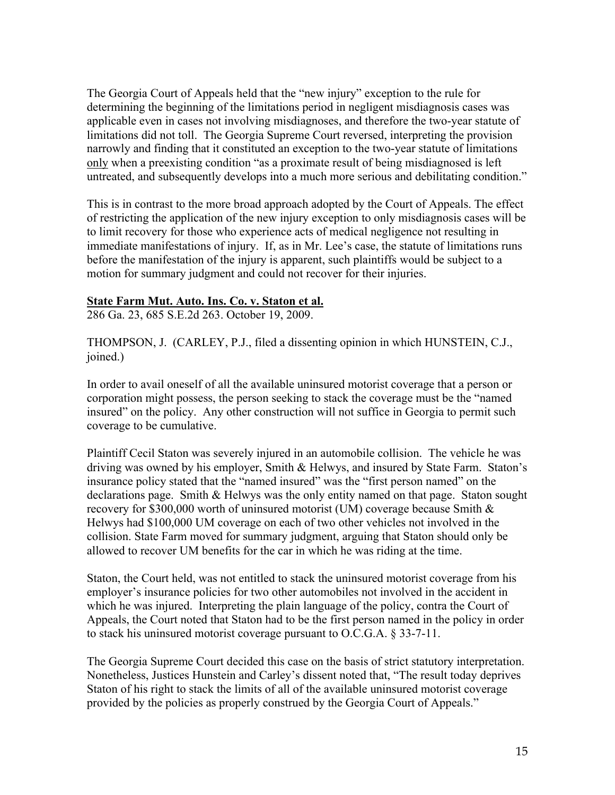The Georgia Court of Appeals held that the "new injury" exception to the rule for determining the beginning of the limitations period in negligent misdiagnosis cases was applicable even in cases not involving misdiagnoses, and therefore the two-year statute of limitations did not toll. The Georgia Supreme Court reversed, interpreting the provision narrowly and finding that it constituted an exception to the two-year statute of limitations only when a preexisting condition "as a proximate result of being misdiagnosed is left untreated, and subsequently develops into a much more serious and debilitating condition."

This is in contrast to the more broad approach adopted by the Court of Appeals. The effect of restricting the application of the new injury exception to only misdiagnosis cases will be to limit recovery for those who experience acts of medical negligence not resulting in immediate manifestations of injury. If, as in Mr. Lee's case, the statute of limitations runs before the manifestation of the injury is apparent, such plaintiffs would be subject to a motion for summary judgment and could not recover for their injuries.

#### **State Farm Mut. Auto. Ins. Co. v. Staton et al.**

286 Ga. 23, 685 S.E.2d 263. October 19, 2009.

THOMPSON, J. (CARLEY, P.J., filed a dissenting opinion in which HUNSTEIN, C.J., joined.)

In order to avail oneself of all the available uninsured motorist coverage that a person or corporation might possess, the person seeking to stack the coverage must be the "named insured" on the policy. Any other construction will not suffice in Georgia to permit such coverage to be cumulative.

Plaintiff Cecil Staton was severely injured in an automobile collision. The vehicle he was driving was owned by his employer, Smith & Helwys, and insured by State Farm. Staton's insurance policy stated that the "named insured" was the "first person named" on the declarations page. Smith & Helwys was the only entity named on that page. Staton sought recovery for \$300,000 worth of uninsured motorist (UM) coverage because Smith & Helwys had \$100,000 UM coverage on each of two other vehicles not involved in the collision. State Farm moved for summary judgment, arguing that Staton should only be allowed to recover UM benefits for the car in which he was riding at the time.

Staton, the Court held, was not entitled to stack the uninsured motorist coverage from his employer's insurance policies for two other automobiles not involved in the accident in which he was injured. Interpreting the plain language of the policy, contra the Court of Appeals, the Court noted that Staton had to be the first person named in the policy in order to stack his uninsured motorist coverage pursuant to O.C.G.A. § 33-7-11.

The Georgia Supreme Court decided this case on the basis of strict statutory interpretation. Nonetheless, Justices Hunstein and Carley's dissent noted that, "The result today deprives Staton of his right to stack the limits of all of the available uninsured motorist coverage provided by the policies as properly construed by the Georgia Court of Appeals."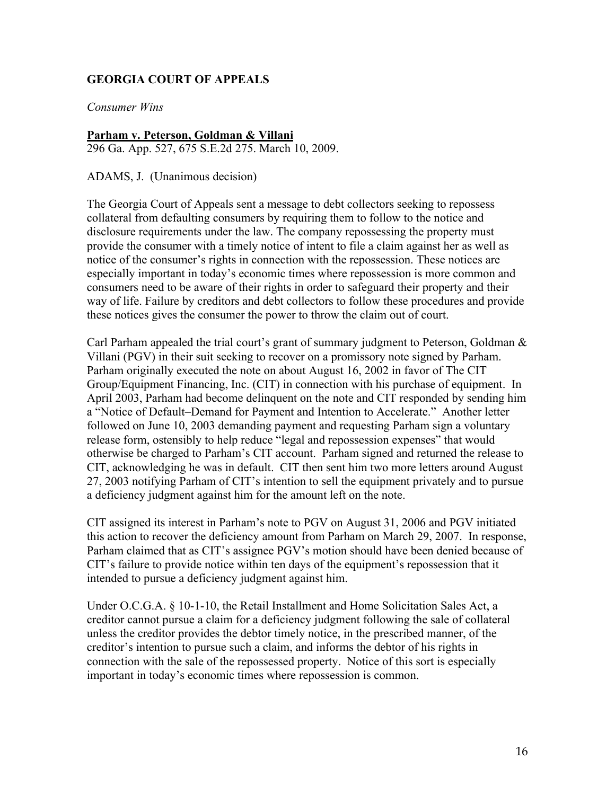# **GEORGIA COURT OF APPEALS**

*Consumer Wins*

#### **Parham v. Peterson, Goldman & Villani**

296 Ga. App. 527, 675 S.E.2d 275. March 10, 2009.

ADAMS, J. (Unanimous decision)

The Georgia Court of Appeals sent a message to debt collectors seeking to repossess collateral from defaulting consumers by requiring them to follow to the notice and disclosure requirements under the law. The company repossessing the property must provide the consumer with a timely notice of intent to file a claim against her as well as notice of the consumer's rights in connection with the repossession. These notices are especially important in today's economic times where repossession is more common and consumers need to be aware of their rights in order to safeguard their property and their way of life. Failure by creditors and debt collectors to follow these procedures and provide these notices gives the consumer the power to throw the claim out of court.

Carl Parham appealed the trial court's grant of summary judgment to Peterson, Goldman & Villani (PGV) in their suit seeking to recover on a promissory note signed by Parham. Parham originally executed the note on about August 16, 2002 in favor of The CIT Group/Equipment Financing, Inc. (CIT) in connection with his purchase of equipment. In April 2003, Parham had become delinquent on the note and CIT responded by sending him a "Notice of Default–Demand for Payment and Intention to Accelerate." Another letter followed on June 10, 2003 demanding payment and requesting Parham sign a voluntary release form, ostensibly to help reduce "legal and repossession expenses" that would otherwise be charged to Parham's CIT account. Parham signed and returned the release to CIT, acknowledging he was in default. CIT then sent him two more letters around August 27, 2003 notifying Parham of CIT's intention to sell the equipment privately and to pursue a deficiency judgment against him for the amount left on the note.

CIT assigned its interest in Parham's note to PGV on August 31, 2006 and PGV initiated this action to recover the deficiency amount from Parham on March 29, 2007. In response, Parham claimed that as CIT's assignee PGV's motion should have been denied because of CIT's failure to provide notice within ten days of the equipment's repossession that it intended to pursue a deficiency judgment against him.

Under O.C.G.A. § 10-1-10, the Retail Installment and Home Solicitation Sales Act, a creditor cannot pursue a claim for a deficiency judgment following the sale of collateral unless the creditor provides the debtor timely notice, in the prescribed manner, of the creditor's intention to pursue such a claim, and informs the debtor of his rights in connection with the sale of the repossessed property. Notice of this sort is especially important in today's economic times where repossession is common.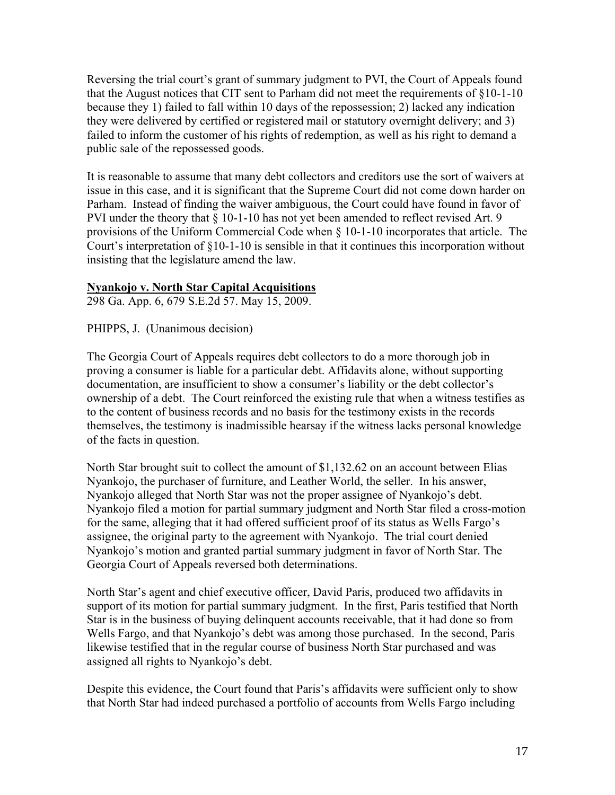Reversing the trial court's grant of summary judgment to PVI, the Court of Appeals found that the August notices that CIT sent to Parham did not meet the requirements of §10-1-10 because they 1) failed to fall within 10 days of the repossession; 2) lacked any indication they were delivered by certified or registered mail or statutory overnight delivery; and 3) failed to inform the customer of his rights of redemption, as well as his right to demand a public sale of the repossessed goods.

It is reasonable to assume that many debt collectors and creditors use the sort of waivers at issue in this case, and it is significant that the Supreme Court did not come down harder on Parham. Instead of finding the waiver ambiguous, the Court could have found in favor of PVI under the theory that § 10-1-10 has not yet been amended to reflect revised Art. 9 provisions of the Uniform Commercial Code when § 10-1-10 incorporates that article. The Court's interpretation of §10-1-10 is sensible in that it continues this incorporation without insisting that the legislature amend the law.

#### **Nyankojo v. North Star Capital Acquisitions**

298 Ga. App. 6, 679 S.E.2d 57. May 15, 2009.

PHIPPS, J. (Unanimous decision)

The Georgia Court of Appeals requires debt collectors to do a more thorough job in proving a consumer is liable for a particular debt. Affidavits alone, without supporting documentation, are insufficient to show a consumer's liability or the debt collector's ownership of a debt. The Court reinforced the existing rule that when a witness testifies as to the content of business records and no basis for the testimony exists in the records themselves, the testimony is inadmissible hearsay if the witness lacks personal knowledge of the facts in question.

North Star brought suit to collect the amount of \$1,132.62 on an account between Elias Nyankojo, the purchaser of furniture, and Leather World, the seller. In his answer, Nyankojo alleged that North Star was not the proper assignee of Nyankojo's debt. Nyankojo filed a motion for partial summary judgment and North Star filed a cross-motion for the same, alleging that it had offered sufficient proof of its status as Wells Fargo's assignee, the original party to the agreement with Nyankojo. The trial court denied Nyankojo's motion and granted partial summary judgment in favor of North Star. The Georgia Court of Appeals reversed both determinations.

North Star's agent and chief executive officer, David Paris, produced two affidavits in support of its motion for partial summary judgment. In the first, Paris testified that North Star is in the business of buying delinquent accounts receivable, that it had done so from Wells Fargo, and that Nyankojo's debt was among those purchased. In the second, Paris likewise testified that in the regular course of business North Star purchased and was assigned all rights to Nyankojo's debt.

Despite this evidence, the Court found that Paris's affidavits were sufficient only to show that North Star had indeed purchased a portfolio of accounts from Wells Fargo including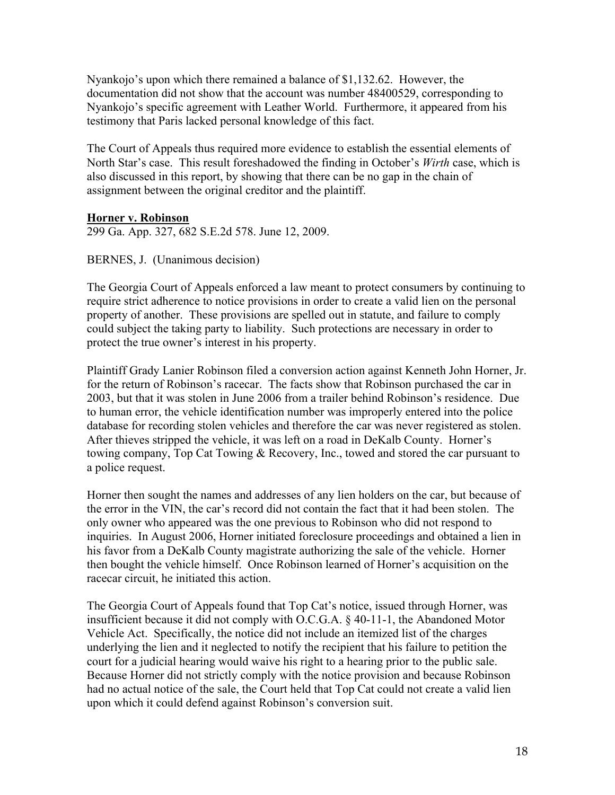Nyankojo's upon which there remained a balance of \$1,132.62. However, the documentation did not show that the account was number 48400529, corresponding to Nyankojo's specific agreement with Leather World. Furthermore, it appeared from his testimony that Paris lacked personal knowledge of this fact.

The Court of Appeals thus required more evidence to establish the essential elements of North Star's case. This result foreshadowed the finding in October's *Wirth* case, which is also discussed in this report, by showing that there can be no gap in the chain of assignment between the original creditor and the plaintiff.

#### **Horner v. Robinson**

299 Ga. App. 327, 682 S.E.2d 578. June 12, 2009.

BERNES, J. (Unanimous decision)

The Georgia Court of Appeals enforced a law meant to protect consumers by continuing to require strict adherence to notice provisions in order to create a valid lien on the personal property of another. These provisions are spelled out in statute, and failure to comply could subject the taking party to liability. Such protections are necessary in order to protect the true owner's interest in his property.

Plaintiff Grady Lanier Robinson filed a conversion action against Kenneth John Horner, Jr. for the return of Robinson's racecar. The facts show that Robinson purchased the car in 2003, but that it was stolen in June 2006 from a trailer behind Robinson's residence. Due to human error, the vehicle identification number was improperly entered into the police database for recording stolen vehicles and therefore the car was never registered as stolen. After thieves stripped the vehicle, it was left on a road in DeKalb County. Horner's towing company, Top Cat Towing & Recovery, Inc., towed and stored the car pursuant to a police request.

Horner then sought the names and addresses of any lien holders on the car, but because of the error in the VIN, the car's record did not contain the fact that it had been stolen. The only owner who appeared was the one previous to Robinson who did not respond to inquiries. In August 2006, Horner initiated foreclosure proceedings and obtained a lien in his favor from a DeKalb County magistrate authorizing the sale of the vehicle. Horner then bought the vehicle himself. Once Robinson learned of Horner's acquisition on the racecar circuit, he initiated this action.

The Georgia Court of Appeals found that Top Cat's notice, issued through Horner, was insufficient because it did not comply with O.C.G.A. § 40-11-1, the Abandoned Motor Vehicle Act. Specifically, the notice did not include an itemized list of the charges underlying the lien and it neglected to notify the recipient that his failure to petition the court for a judicial hearing would waive his right to a hearing prior to the public sale. Because Horner did not strictly comply with the notice provision and because Robinson had no actual notice of the sale, the Court held that Top Cat could not create a valid lien upon which it could defend against Robinson's conversion suit.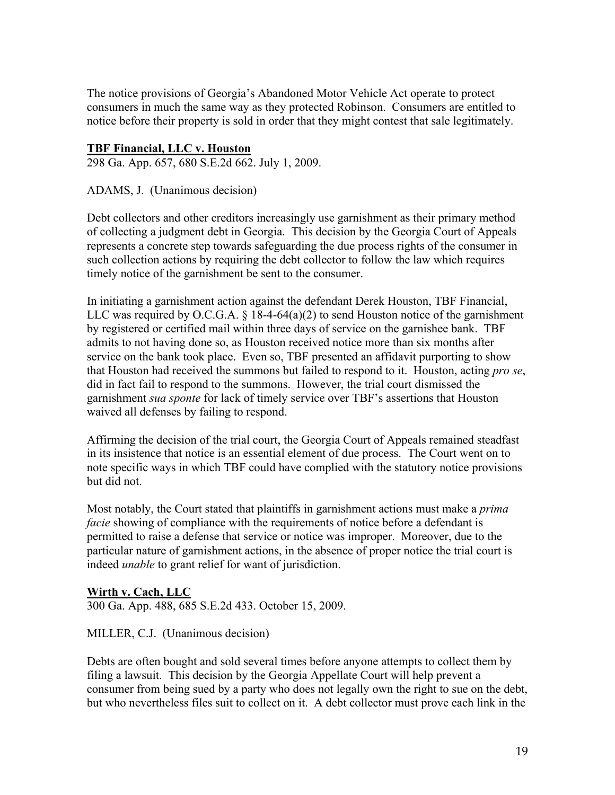The notice provisions of Georgia's Abandoned Motor Vehicle Act operate to protect consumers in much the same way as they protected Robinson. Consumers are entitled to notice before their property is sold in order that they might contest that sale legitimately.

### **TBF Financial, LLC v. Houston**

298 Ga. App. 657, 680 S.E.2d 662. July 1, 2009.

ADAMS, J. (Unanimous decision)

Debt collectors and other creditors increasingly use garnishment as their primary method of collecting a judgment debt in Georgia. This decision by the Georgia Court of Appeals represents a concrete step towards safeguarding the due process rights of the consumer in such collection actions by requiring the debt collector to follow the law which requires timely notice of the garnishment be sent to the consumer.

In initiating a garnishment action against the defendant Derek Houston, TBF Financial, LLC was required by O.C.G.A.  $\S$  18-4-64(a)(2) to send Houston notice of the garnishment by registered or certified mail within three days of service on the garnishee bank. TBF admits to not having done so, as Houston received notice more than six months after service on the bank took place. Even so, TBF presented an affidavit purporting to show that Houston had received the summons but failed to respond to it. Houston, acting *pro se*, did in fact fail to respond to the summons. However, the trial court dismissed the garnishment *sua sponte* for lack of timely service over TBF's assertions that Houston waived all defenses by failing to respond.

Affirming the decision of the trial court, the Georgia Court of Appeals remained steadfast in its insistence that notice is an essential element of due process. The Court went on to note specific ways in which TBF could have complied with the statutory notice provisions but did not.

Most notably, the Court stated that plaintiffs in garnishment actions must make a *prima facie* showing of compliance with the requirements of notice before a defendant is permitted to raise a defense that service or notice was improper. Moreover, due to the particular nature of garnishment actions, in the absence of proper notice the trial court is indeed *unable* to grant relief for want of jurisdiction.

## **Wirth v. Cach, LLC**

300 Ga. App. 488, 685 S.E.2d 433. October 15, 2009.

MILLER, C.J. (Unanimous decision)

Debts are often bought and sold several times before anyone attempts to collect them by filing a lawsuit. This decision by the Georgia Appellate Court will help prevent a consumer from being sued by a party who does not legally own the right to sue on the debt, but who nevertheless files suit to collect on it. A debt collector must prove each link in the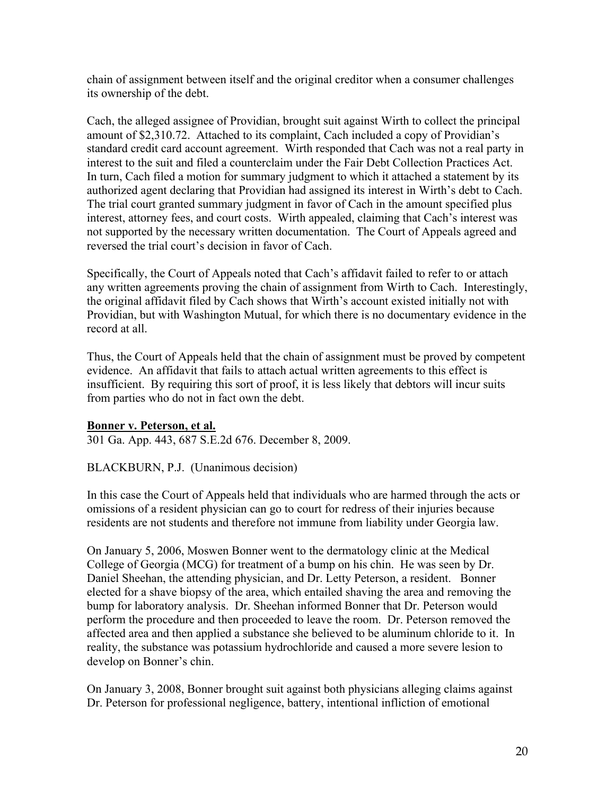chain of assignment between itself and the original creditor when a consumer challenges its ownership of the debt.

Cach, the alleged assignee of Providian, brought suit against Wirth to collect the principal amount of \$2,310.72. Attached to its complaint, Cach included a copy of Providian's standard credit card account agreement. Wirth responded that Cach was not a real party in interest to the suit and filed a counterclaim under the Fair Debt Collection Practices Act. In turn, Cach filed a motion for summary judgment to which it attached a statement by its authorized agent declaring that Providian had assigned its interest in Wirth's debt to Cach. The trial court granted summary judgment in favor of Cach in the amount specified plus interest, attorney fees, and court costs. Wirth appealed, claiming that Cach's interest was not supported by the necessary written documentation. The Court of Appeals agreed and reversed the trial court's decision in favor of Cach.

Specifically, the Court of Appeals noted that Cach's affidavit failed to refer to or attach any written agreements proving the chain of assignment from Wirth to Cach. Interestingly, the original affidavit filed by Cach shows that Wirth's account existed initially not with Providian, but with Washington Mutual, for which there is no documentary evidence in the record at all.

Thus, the Court of Appeals held that the chain of assignment must be proved by competent evidence. An affidavit that fails to attach actual written agreements to this effect is insufficient. By requiring this sort of proof, it is less likely that debtors will incur suits from parties who do not in fact own the debt.

## **Bonner v. Peterson, et al.**

301 Ga. App. 443, 687 S.E.2d 676. December 8, 2009.

## BLACKBURN, P.J. (Unanimous decision)

In this case the Court of Appeals held that individuals who are harmed through the acts or omissions of a resident physician can go to court for redress of their injuries because residents are not students and therefore not immune from liability under Georgia law.

On January 5, 2006, Moswen Bonner went to the dermatology clinic at the Medical College of Georgia (MCG) for treatment of a bump on his chin. He was seen by Dr. Daniel Sheehan, the attending physician, and Dr. Letty Peterson, a resident. Bonner elected for a shave biopsy of the area, which entailed shaving the area and removing the bump for laboratory analysis. Dr. Sheehan informed Bonner that Dr. Peterson would perform the procedure and then proceeded to leave the room. Dr. Peterson removed the affected area and then applied a substance she believed to be aluminum chloride to it. In reality, the substance was potassium hydrochloride and caused a more severe lesion to develop on Bonner's chin.

On January 3, 2008, Bonner brought suit against both physicians alleging claims against Dr. Peterson for professional negligence, battery, intentional infliction of emotional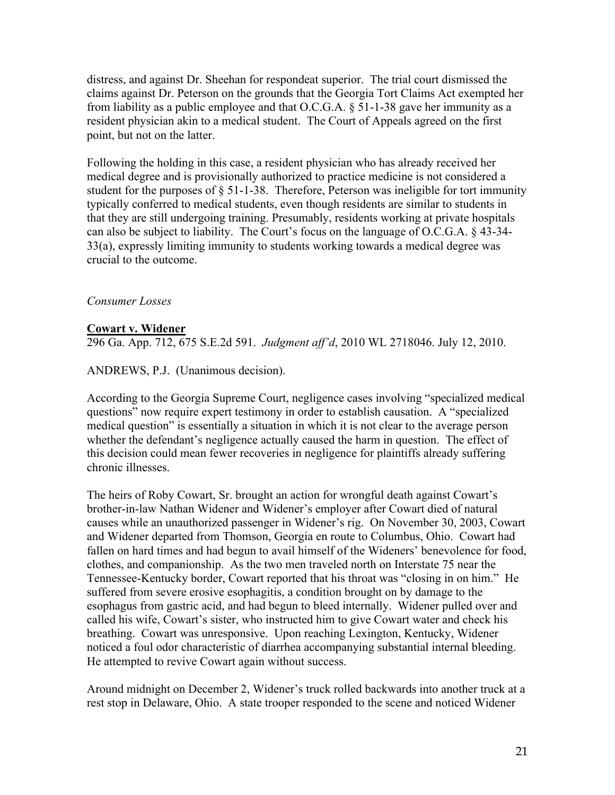distress, and against Dr. Sheehan for respondeat superior. The trial court dismissed the claims against Dr. Peterson on the grounds that the Georgia Tort Claims Act exempted her from liability as a public employee and that O.C.G.A. § 51-1-38 gave her immunity as a resident physician akin to a medical student. The Court of Appeals agreed on the first point, but not on the latter.

Following the holding in this case, a resident physician who has already received her medical degree and is provisionally authorized to practice medicine is not considered a student for the purposes of § 51-1-38. Therefore, Peterson was ineligible for tort immunity typically conferred to medical students, even though residents are similar to students in that they are still undergoing training. Presumably, residents working at private hospitals can also be subject to liability. The Court's focus on the language of O.C.G.A. § 43-34- 33(a), expressly limiting immunity to students working towards a medical degree was crucial to the outcome.

#### *Consumer Losses*

#### **Cowart v. Widener**

296 Ga. App. 712, 675 S.E.2d 591. *Judgment aff'd*, 2010 WL 2718046. July 12, 2010.

ANDREWS, P.J. (Unanimous decision).

According to the Georgia Supreme Court, negligence cases involving "specialized medical questions" now require expert testimony in order to establish causation. A "specialized medical question" is essentially a situation in which it is not clear to the average person whether the defendant's negligence actually caused the harm in question. The effect of this decision could mean fewer recoveries in negligence for plaintiffs already suffering chronic illnesses.

The heirs of Roby Cowart, Sr. brought an action for wrongful death against Cowart's brother-in-law Nathan Widener and Widener's employer after Cowart died of natural causes while an unauthorized passenger in Widener's rig. On November 30, 2003, Cowart and Widener departed from Thomson, Georgia en route to Columbus, Ohio. Cowart had fallen on hard times and had begun to avail himself of the Wideners' benevolence for food, clothes, and companionship. As the two men traveled north on Interstate 75 near the Tennessee-Kentucky border, Cowart reported that his throat was "closing in on him." He suffered from severe erosive esophagitis, a condition brought on by damage to the esophagus from gastric acid, and had begun to bleed internally. Widener pulled over and called his wife, Cowart's sister, who instructed him to give Cowart water and check his breathing. Cowart was unresponsive. Upon reaching Lexington, Kentucky, Widener noticed a foul odor characteristic of diarrhea accompanying substantial internal bleeding. He attempted to revive Cowart again without success.

Around midnight on December 2, Widener's truck rolled backwards into another truck at a rest stop in Delaware, Ohio. A state trooper responded to the scene and noticed Widener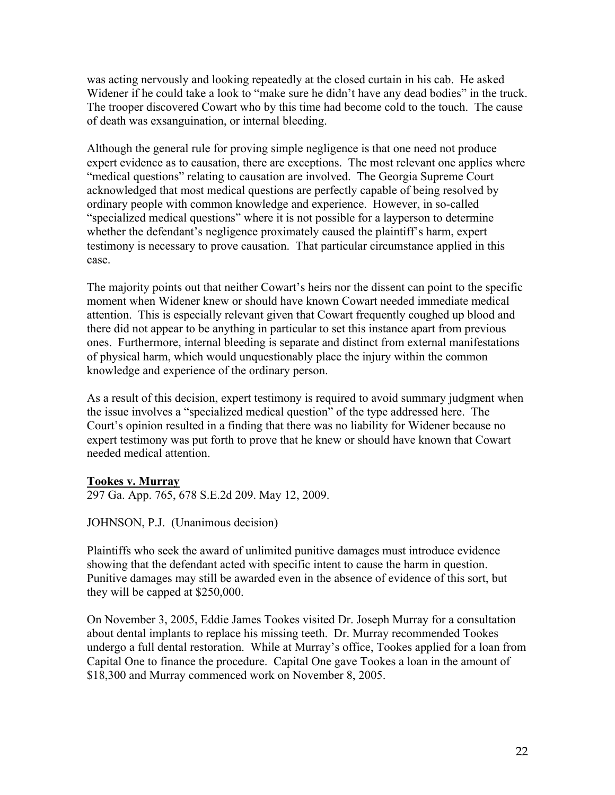was acting nervously and looking repeatedly at the closed curtain in his cab. He asked Widener if he could take a look to "make sure he didn't have any dead bodies" in the truck. The trooper discovered Cowart who by this time had become cold to the touch. The cause of death was exsanguination, or internal bleeding.

Although the general rule for proving simple negligence is that one need not produce expert evidence as to causation, there are exceptions. The most relevant one applies where "medical questions" relating to causation are involved. The Georgia Supreme Court acknowledged that most medical questions are perfectly capable of being resolved by ordinary people with common knowledge and experience. However, in so-called "specialized medical questions" where it is not possible for a layperson to determine whether the defendant's negligence proximately caused the plaintiff's harm, expert testimony is necessary to prove causation. That particular circumstance applied in this case.

The majority points out that neither Cowart's heirs nor the dissent can point to the specific moment when Widener knew or should have known Cowart needed immediate medical attention. This is especially relevant given that Cowart frequently coughed up blood and there did not appear to be anything in particular to set this instance apart from previous ones. Furthermore, internal bleeding is separate and distinct from external manifestations of physical harm, which would unquestionably place the injury within the common knowledge and experience of the ordinary person.

As a result of this decision, expert testimony is required to avoid summary judgment when the issue involves a "specialized medical question" of the type addressed here. The Court's opinion resulted in a finding that there was no liability for Widener because no expert testimony was put forth to prove that he knew or should have known that Cowart needed medical attention.

## **Tookes v. Murray**

297 Ga. App. 765, 678 S.E.2d 209. May 12, 2009.

JOHNSON, P.J. (Unanimous decision)

Plaintiffs who seek the award of unlimited punitive damages must introduce evidence showing that the defendant acted with specific intent to cause the harm in question. Punitive damages may still be awarded even in the absence of evidence of this sort, but they will be capped at \$250,000.

On November 3, 2005, Eddie James Tookes visited Dr. Joseph Murray for a consultation about dental implants to replace his missing teeth. Dr. Murray recommended Tookes undergo a full dental restoration. While at Murray's office, Tookes applied for a loan from Capital One to finance the procedure. Capital One gave Tookes a loan in the amount of \$18,300 and Murray commenced work on November 8, 2005.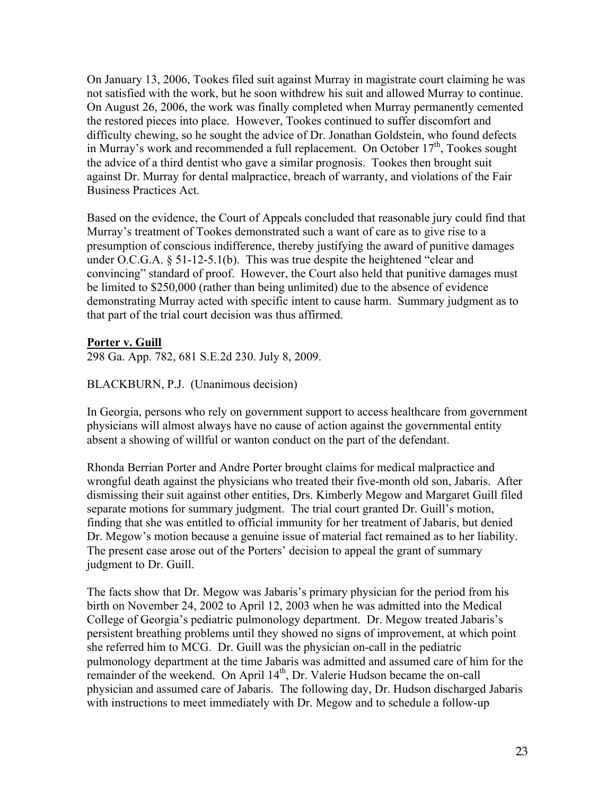On January 13, 2006, Tookes filed suit against Murray in magistrate court claiming he was not satisfied with the work, but he soon withdrew his suit and allowed Murray to continue. On August 26, 2006, the work was finally completed when Murray permanently cemented the restored pieces into place. However, Tookes continued to suffer discomfort and difficulty chewing, so he sought the advice of Dr. Jonathan Goldstein, who found defects in Murray's work and recommended a full replacement. On October 17<sup>th</sup>, Tookes sought the advice of a third dentist who gave a similar prognosis. Tookes then brought suit against Dr. Murray for dental malpractice, breach of warranty, and violations of the Fair Business Practices Act.

Based on the evidence, the Court of Appeals concluded that reasonable jury could find that Murray's treatment of Tookes demonstrated such a want of care as to give rise to a presumption of conscious indifference, thereby justifying the award of punitive damages under O.C.G.A. § 51-12-5.1(b). This was true despite the heightened "clear and convincing" standard of proof. However, the Court also held that punitive damages must be limited to \$250,000 (rather than being unlimited) due to the absence of evidence demonstrating Murray acted with specific intent to cause harm. Summary judgment as to that part of the trial court decision was thus affirmed.

#### **Porter v. Guill**

298 Ga. App. 782, 681 S.E.2d 230. July 8, 2009.

#### BLACKBURN, P.J. (Unanimous decision)

In Georgia, persons who rely on government support to access healthcare from government physicians will almost always have no cause of action against the governmental entity absent a showing of willful or wanton conduct on the part of the defendant.

Rhonda Berrian Porter and Andre Porter brought claims for medical malpractice and wrongful death against the physicians who treated their five-month old son, Jabaris. After dismissing their suit against other entities, Drs. Kimberly Megow and Margaret Guill filed separate motions for summary judgment. The trial court granted Dr. Guill's motion, finding that she was entitled to official immunity for her treatment of Jabaris, but denied Dr. Megow's motion because a genuine issue of material fact remained as to her liability. The present case arose out of the Porters' decision to appeal the grant of summary judgment to Dr. Guill.

The facts show that Dr. Megow was Jabaris's primary physician for the period from his birth on November 24, 2002 to April 12, 2003 when he was admitted into the Medical College of Georgia's pediatric pulmonology department. Dr. Megow treated Jabaris's persistent breathing problems until they showed no signs of improvement, at which point she referred him to MCG. Dr. Guill was the physician on-call in the pediatric pulmonology department at the time Jabaris was admitted and assumed care of him for the remainder of the weekend. On April  $14<sup>th</sup>$ , Dr. Valerie Hudson became the on-call physician and assumed care of Jabaris. The following day, Dr. Hudson discharged Jabaris with instructions to meet immediately with Dr. Megow and to schedule a follow-up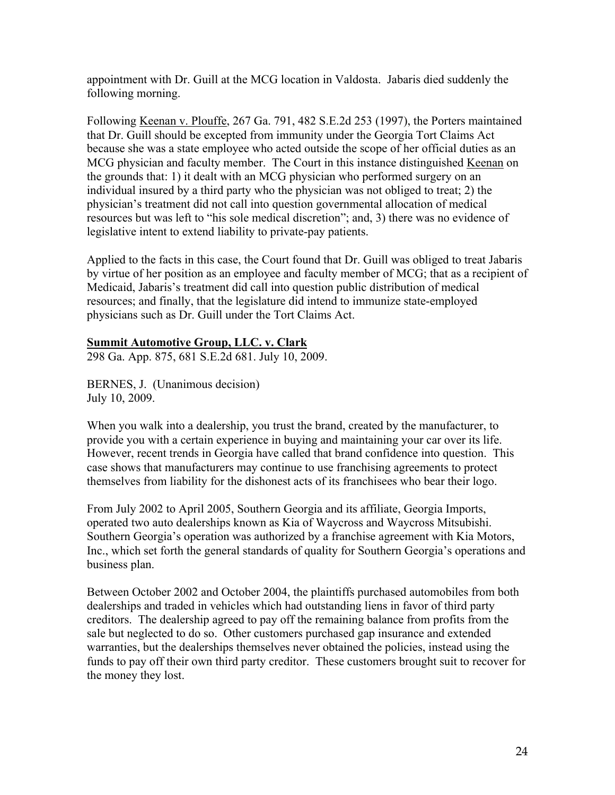appointment with Dr. Guill at the MCG location in Valdosta. Jabaris died suddenly the following morning.

Following Keenan v. Plouffe, 267 Ga. 791, 482 S.E.2d 253 (1997), the Porters maintained that Dr. Guill should be excepted from immunity under the Georgia Tort Claims Act because she was a state employee who acted outside the scope of her official duties as an MCG physician and faculty member. The Court in this instance distinguished Keenan on the grounds that: 1) it dealt with an MCG physician who performed surgery on an individual insured by a third party who the physician was not obliged to treat; 2) the physician's treatment did not call into question governmental allocation of medical resources but was left to "his sole medical discretion"; and, 3) there was no evidence of legislative intent to extend liability to private-pay patients.

Applied to the facts in this case, the Court found that Dr. Guill was obliged to treat Jabaris by virtue of her position as an employee and faculty member of MCG; that as a recipient of Medicaid, Jabaris's treatment did call into question public distribution of medical resources; and finally, that the legislature did intend to immunize state-employed physicians such as Dr. Guill under the Tort Claims Act.

## **Summit Automotive Group, LLC. v. Clark**

298 Ga. App. 875, 681 S.E.2d 681. July 10, 2009.

BERNES, J. (Unanimous decision) July 10, 2009.

When you walk into a dealership, you trust the brand, created by the manufacturer, to provide you with a certain experience in buying and maintaining your car over its life. However, recent trends in Georgia have called that brand confidence into question. This case shows that manufacturers may continue to use franchising agreements to protect themselves from liability for the dishonest acts of its franchisees who bear their logo.

From July 2002 to April 2005, Southern Georgia and its affiliate, Georgia Imports, operated two auto dealerships known as Kia of Waycross and Waycross Mitsubishi. Southern Georgia's operation was authorized by a franchise agreement with Kia Motors, Inc., which set forth the general standards of quality for Southern Georgia's operations and business plan.

Between October 2002 and October 2004, the plaintiffs purchased automobiles from both dealerships and traded in vehicles which had outstanding liens in favor of third party creditors. The dealership agreed to pay off the remaining balance from profits from the sale but neglected to do so. Other customers purchased gap insurance and extended warranties, but the dealerships themselves never obtained the policies, instead using the funds to pay off their own third party creditor. These customers brought suit to recover for the money they lost.